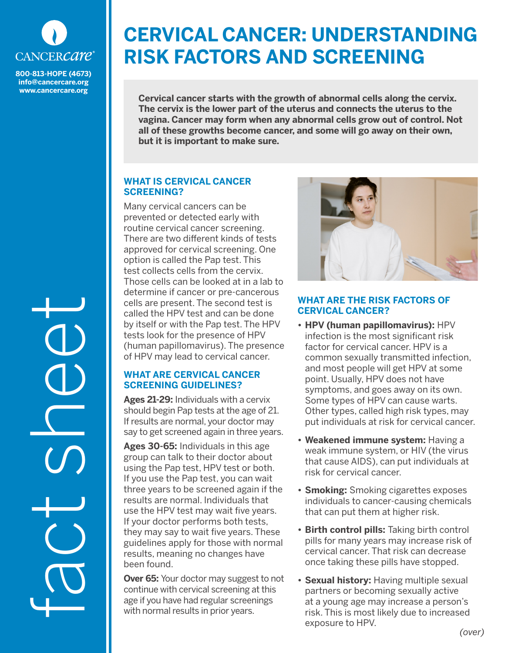

**800-813-HOPE (4673) info@cancercare.org www.cancercare.org**

fact sheet

# **CERVICAL CANCER: UNDERSTANDING RISK FACTORS AND SCREENING**

**Cervical cancer starts with the growth of abnormal cells along the cervix. The cervix is the lower part of the uterus and connects the uterus to the vagina. Cancer may form when any abnormal cells grow out of control. Not all of these growths become cancer, and some will go away on their own, but it is important to make sure.** 

### **WHAT IS CERVICAL CANCER SCREENING?**

Many cervical cancers can be prevented or detected early with routine cervical cancer screening. There are two different kinds of tests approved for cervical screening. One option is called the Pap test. This test collects cells from the cervix. Those cells can be looked at in a lab to determine if cancer or pre-cancerous cells are present. The second test is called the HPV test and can be done by itself or with the Pap test. The HPV tests look for the presence of HPV (human papillomavirus). The presence of HPV may lead to cervical cancer.

## **WHAT ARE CERVICAL CANCER SCREENING GUIDELINES?**

**Ages 21-29:** Individuals with a cervix should begin Pap tests at the age of 21. If results are normal, your doctor may say to get screened again in three years.

**Ages 30-65:** Individuals in this age group can talk to their doctor about using the Pap test, HPV test or both. If you use the Pap test, you can wait three years to be screened again if the results are normal. Individuals that use the HPV test may wait five years. If your doctor performs both tests, they may say to wait five years. These guidelines apply for those with normal results, meaning no changes have been found.

**Over 65:** Your doctor may suggest to not continue with cervical screening at this age if you have had regular screenings with normal results in prior years.



### **WHAT ARE THE RISK FACTORS OF CERVICAL CANCER?**

- **• HPV (human papillomavirus):** HPV infection is the most significant risk factor for cervical cancer. HPV is a common sexually transmitted infection, and most people will get HPV at some point. Usually, HPV does not have symptoms, and goes away on its own. Some types of HPV can cause warts. Other types, called high risk types, may put individuals at risk for cervical cancer.
- **• Weakened immune system:** Having a weak immune system, or HIV (the virus that cause AIDS), can put individuals at risk for cervical cancer.
- **• Smoking:** Smoking cigarettes exposes individuals to cancer-causing chemicals that can put them at higher risk.
- **• Birth control pills:** Taking birth control pills for many years may increase risk of cervical cancer. That risk can decrease once taking these pills have stopped.
- **• Sexual history:** Having multiple sexual partners or becoming sexually active at a young age may increase a person's risk. This is most likely due to increased exposure to HPV.